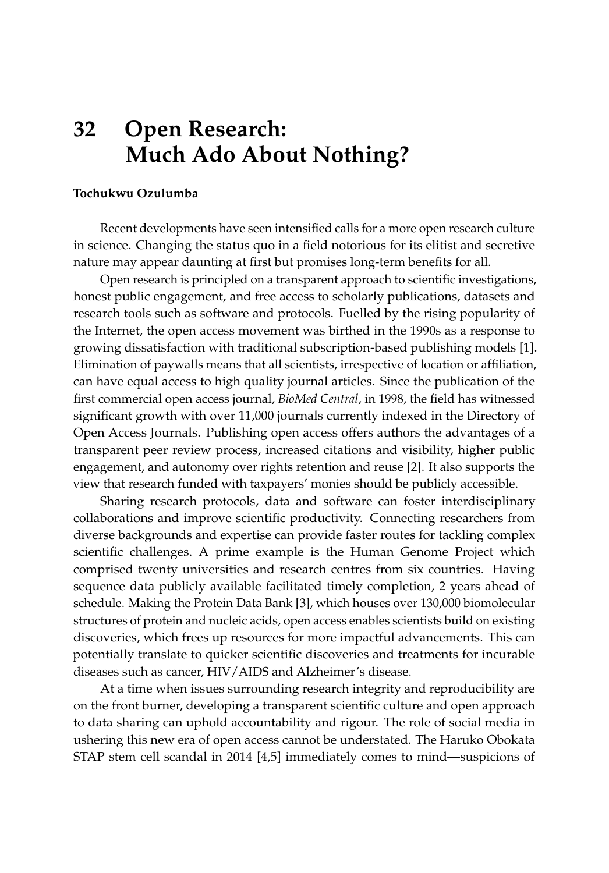## **32 Open Research: Much Ado About Nothing?**

## **Tochukwu Ozulumba**

Recent developments have seen intensified calls for a more open research culture in science. Changing the status quo in a field notorious for its elitist and secretive nature may appear daunting at first but promises long-term benefits for all.

Open research is principled on a transparent approach to scientific investigations, honest public engagement, and free access to scholarly publications, datasets and research tools such as software and protocols. Fuelled by the rising popularity of the Internet, the open access movement was birthed in the 1990s as a response to growing dissatisfaction with traditional subscription-based publishing models [\[1\]](#page-1-0). Elimination of paywalls means that all scientists, irrespective of location or affiliation, can have equal access to high quality journal articles. Since the publication of the first commercial open access journal, *BioMed Central*, in 1998, the field has witnessed significant growth with over 11,000 journals currently indexed in the Directory of Open Access Journals. Publishing open access offers authors the advantages of a transparent peer review process, increased citations and visibility, higher public engagement, and autonomy over rights retention and reuse [\[2\]](#page-1-1). It also supports the view that research funded with taxpayers' monies should be publicly accessible.

Sharing research protocols, data and software can foster interdisciplinary collaborations and improve scientific productivity. Connecting researchers from diverse backgrounds and expertise can provide faster routes for tackling complex scientific challenges. A prime example is the Human Genome Project which comprised twenty universities and research centres from six countries. Having sequence data publicly available facilitated timely completion, 2 years ahead of schedule. Making the Protein Data Bank [\[3\]](#page-1-2), which houses over 130,000 biomolecular structures of protein and nucleic acids, open access enables scientists build on existing discoveries, which frees up resources for more impactful advancements. This can potentially translate to quicker scientific discoveries and treatments for incurable diseases such as cancer, HIV/AIDS and Alzheimer's disease.

At a time when issues surrounding research integrity and reproducibility are on the front burner, developing a transparent scientific culture and open approach to data sharing can uphold accountability and rigour. The role of social media in ushering this new era of open access cannot be understated. The Haruko Obokata STAP stem cell scandal in 2014 [\[4](#page-1-3)[,5\]](#page-2-0) immediately comes to mind—suspicions of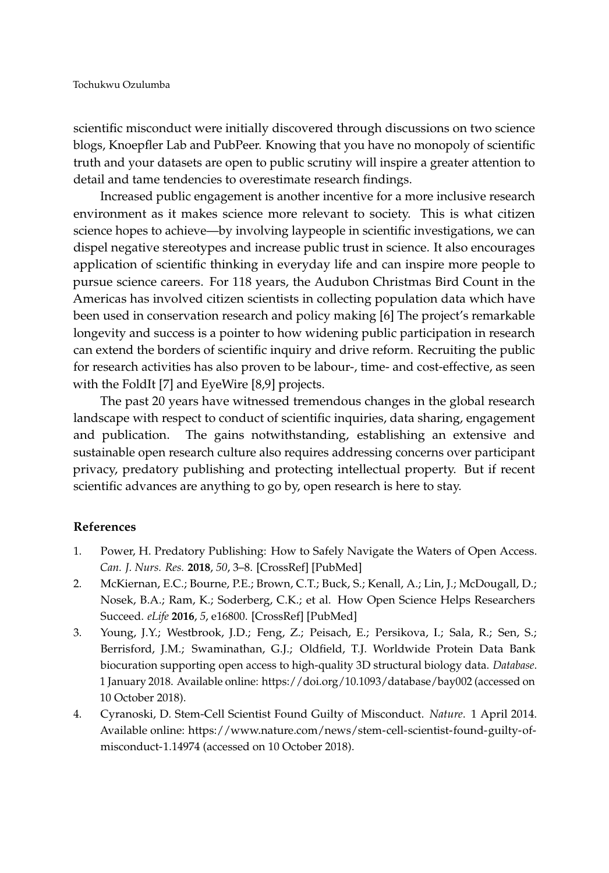scientific misconduct were initially discovered through discussions on two science blogs, Knoepfler Lab and PubPeer. Knowing that you have no monopoly of scientific truth and your datasets are open to public scrutiny will inspire a greater attention to detail and tame tendencies to overestimate research findings.

Increased public engagement is another incentive for a more inclusive research environment as it makes science more relevant to society. This is what citizen science hopes to achieve—by involving laypeople in scientific investigations, we can dispel negative stereotypes and increase public trust in science. It also encourages application of scientific thinking in everyday life and can inspire more people to pursue science careers. For 118 years, the Audubon Christmas Bird Count in the Americas has involved citizen scientists in collecting population data which have been used in conservation research and policy making [\[6\]](#page-2-1) The project's remarkable longevity and success is a pointer to how widening public participation in research can extend the borders of scientific inquiry and drive reform. Recruiting the public for research activities has also proven to be labour-, time- and cost-effective, as seen with the FoldIt [\[7\]](#page-2-2) and EyeWire [\[8](#page-2-3)[,9\]](#page-2-4) projects.

The past 20 years have witnessed tremendous changes in the global research landscape with respect to conduct of scientific inquiries, data sharing, engagement and publication. The gains notwithstanding, establishing an extensive and sustainable open research culture also requires addressing concerns over participant privacy, predatory publishing and protecting intellectual property. But if recent scientific advances are anything to go by, open research is here to stay.

## **References**

- <span id="page-1-0"></span>1. Power, H. Predatory Publishing: How to Safely Navigate the Waters of Open Access. *Can. J. Nurs. Res.* **2018**, *50*, 3–8. [\[CrossRef\]](http://dx.doi.org/10.1177/0844562117748287) [\[PubMed\]](http://www.ncbi.nlm.nih.gov/pubmed/29301409)
- <span id="page-1-1"></span>2. McKiernan, E.C.; Bourne, P.E.; Brown, C.T.; Buck, S.; Kenall, A.; Lin, J.; McDougall, D.; Nosek, B.A.; Ram, K.; Soderberg, C.K.; et al. How Open Science Helps Researchers Succeed. *eLife* **2016**, *5*, e16800. [\[CrossRef\]](http://dx.doi.org/10.7554/eLife.16800) [\[PubMed\]](http://www.ncbi.nlm.nih.gov/pubmed/27387362)
- <span id="page-1-2"></span>3. Young, J.Y.; Westbrook, J.D.; Feng, Z.; Peisach, E.; Persikova, I.; Sala, R.; Sen, S.; Berrisford, J.M.; Swaminathan, G.J.; Oldfield, T.J. Worldwide Protein Data Bank biocuration supporting open access to high-quality 3D structural biology data. *Database*. 1 January 2018. Available online: <https://doi.org/10.1093/database/bay002> (accessed on 10 October 2018).
- <span id="page-1-3"></span>4. Cyranoski, D. Stem-Cell Scientist Found Guilty of Misconduct. *Nature*. 1 April 2014. Available online: [https://www.nature.com/news/stem-cell-scientist-found-guilty-of](https://www.nature.com/news/stem-cell-scientist-found-guilty-of-misconduct-1.14974)[misconduct-1.14974](https://www.nature.com/news/stem-cell-scientist-found-guilty-of-misconduct-1.14974) (accessed on 10 October 2018).